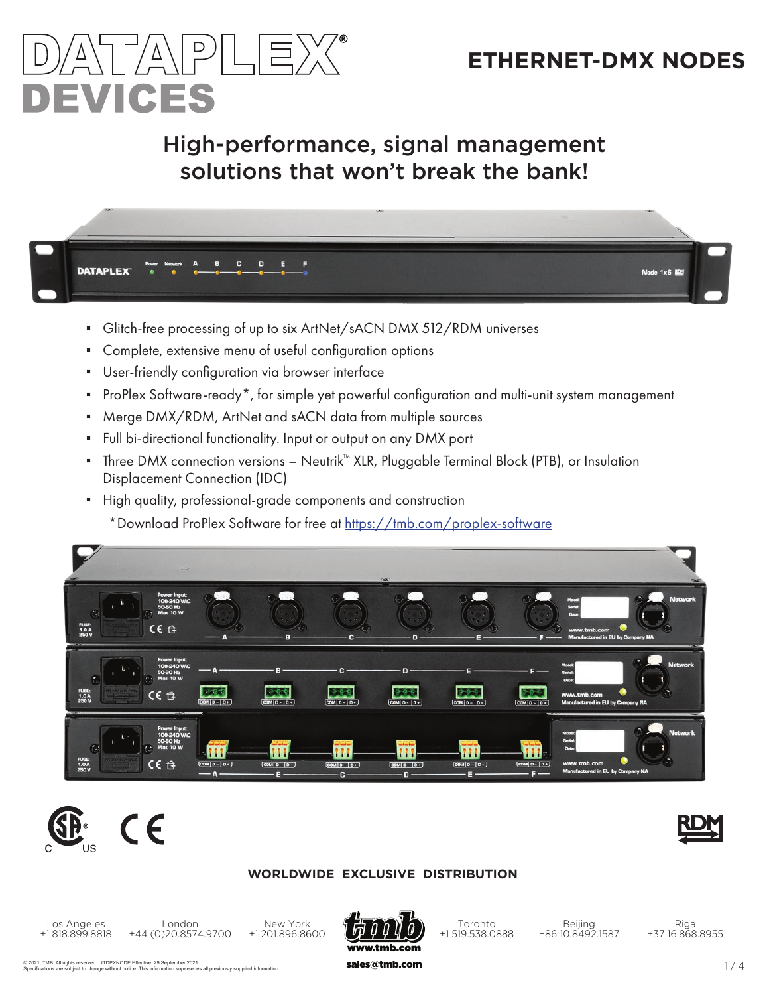



## High-performance, signal management solutions that won't break the bank!



- Glitch-free processing of up to six ArtNet/sACN DMX 512/RDM universes
- Complete, extensive menu of useful configuration options
- User-friendly configuration via browser interface
- ProPlex Software-ready\*, for simple yet powerful configuration and multi-unit system management
- Merge DMX/RDM, ArtNet and sACN data from multiple sources
- Full bi-directional functionality. Input or output on any DMX port
- Three DMX connection versions Neutrik™ XLR, Pluggable Terminal Block (PTB), or Insulation Displacement Connection (IDC)
- High quality, professional-grade components and construction \*Download ProPlex Software for free at https://tmb.com/proplex-software







#### **WORLDWIDE EXCLUSIVE DISTRIBUTION**

Los Angeles +1 818.899.8818

New York +1 201.896.8600 London +44 (0)20.8574.9700



Toronto +1 519.538.0888

Beijing +86 10.8492.1587

Riga +37 16.868.8955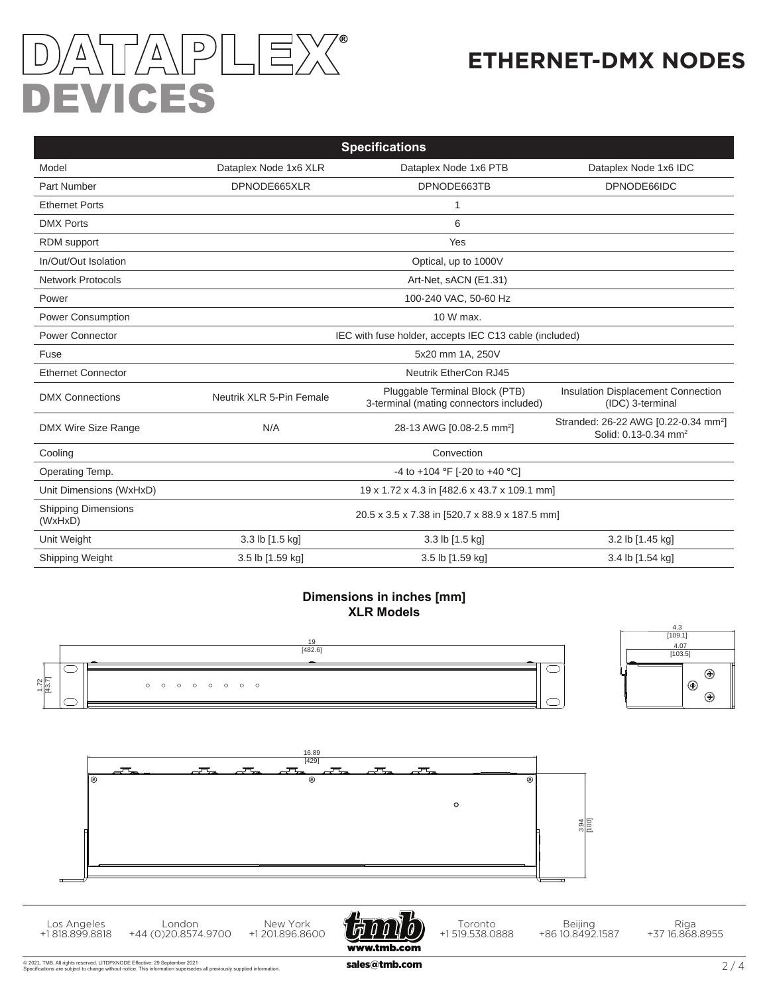# TA\PLE)  $\sqrt{\overline{V}}$ **DEVICES**

# **ETHERNET-DMX NODES**

| <b>Specifications</b>                 |                                                        |                                                                           |                                                                                      |  |  |  |  |
|---------------------------------------|--------------------------------------------------------|---------------------------------------------------------------------------|--------------------------------------------------------------------------------------|--|--|--|--|
| Model                                 | Dataplex Node 1x6 XLR                                  | Dataplex Node 1x6 PTB                                                     | Dataplex Node 1x6 IDC                                                                |  |  |  |  |
| Part Number                           | DPNODE665XLR                                           | DPNODE66IDC<br>DPNODE663TB                                                |                                                                                      |  |  |  |  |
| <b>Ethernet Ports</b>                 | 1                                                      |                                                                           |                                                                                      |  |  |  |  |
| <b>DMX Ports</b>                      | 6                                                      |                                                                           |                                                                                      |  |  |  |  |
| RDM support                           | Yes                                                    |                                                                           |                                                                                      |  |  |  |  |
| In/Out/Out Isolation                  | Optical, up to 1000V                                   |                                                                           |                                                                                      |  |  |  |  |
| <b>Network Protocols</b>              | Art-Net, sACN (E1.31)                                  |                                                                           |                                                                                      |  |  |  |  |
| Power                                 | 100-240 VAC, 50-60 Hz                                  |                                                                           |                                                                                      |  |  |  |  |
| <b>Power Consumption</b>              | 10 W max.                                              |                                                                           |                                                                                      |  |  |  |  |
| <b>Power Connector</b>                | IEC with fuse holder, accepts IEC C13 cable (included) |                                                                           |                                                                                      |  |  |  |  |
| Fuse                                  | 5x20 mm 1A, 250V                                       |                                                                           |                                                                                      |  |  |  |  |
| <b>Ethernet Connector</b>             | <b>Neutrik EtherCon RJ45</b>                           |                                                                           |                                                                                      |  |  |  |  |
| <b>DMX Connections</b>                | Neutrik XLR 5-Pin Female                               | Pluggable Terminal Block (PTB)<br>3-terminal (mating connectors included) | Insulation Displacement Connection<br>(IDC) 3-terminal                               |  |  |  |  |
| DMX Wire Size Range                   | N/A                                                    | 28-13 AWG [0.08-2.5 mm <sup>2</sup> ]                                     | Stranded: 26-22 AWG [0.22-0.34 mm <sup>2</sup> ]<br>Solid: 0.13-0.34 mm <sup>2</sup> |  |  |  |  |
| Cooling                               | Convection                                             |                                                                           |                                                                                      |  |  |  |  |
| Operating Temp.                       | -4 to +104 °F [-20 to +40 °C]                          |                                                                           |                                                                                      |  |  |  |  |
| Unit Dimensions (WxHxD)               | 19 x 1.72 x 4.3 in [482.6 x 43.7 x 109.1 mm]           |                                                                           |                                                                                      |  |  |  |  |
| <b>Shipping Dimensions</b><br>(WxHxD) | 20.5 x 3.5 x 7.38 in [520.7 x 88.9 x 187.5 mm]         |                                                                           |                                                                                      |  |  |  |  |
| Unit Weight                           | 3.3 lb [1.5 kg]                                        | 3.3 lb [1.5 kg]                                                           | 3.2 lb [1.45 kg]                                                                     |  |  |  |  |
| Shipping Weight                       | 3.5 lb [1.59 kg]                                       | 3.5 lb [1.59 kg]                                                          | 3.4 lb [1.54 kg]                                                                     |  |  |  |  |

#### **Dimensions in inches [mm] XLR Models**



+44 (0)20.8574.9700

+1 818.899.8818

+1 201.896.8600

+1 519.538.0888

+86 10.8492.1587

+37 16.868.8955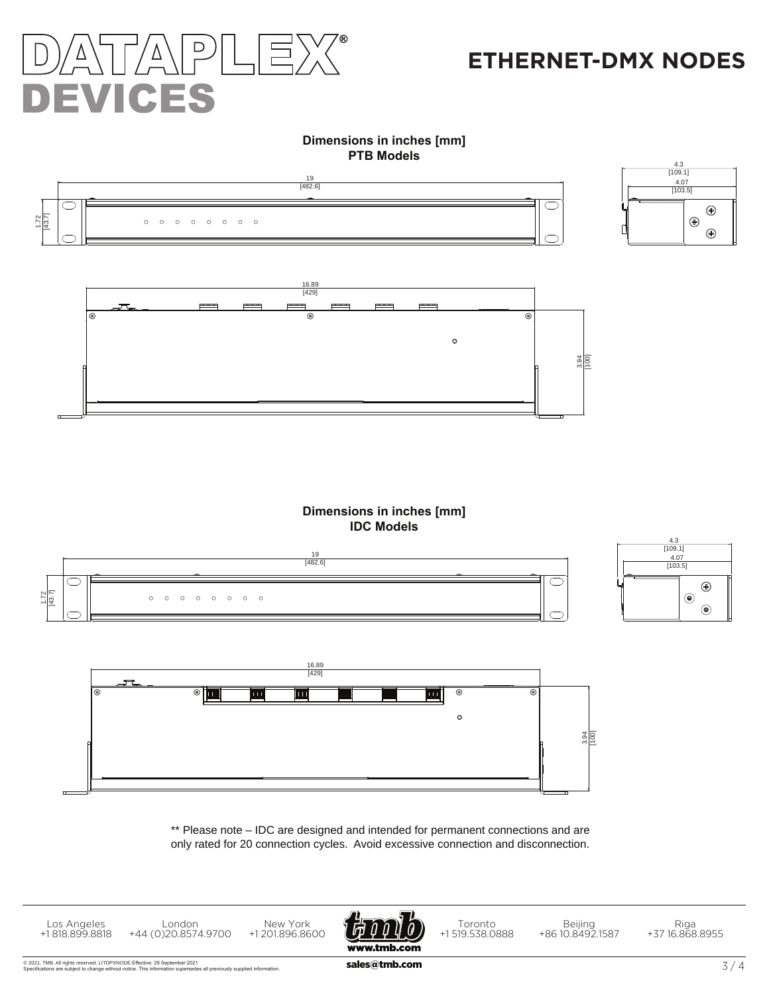

### **ETHERNET-DMX NODES**

#### **Dimensions in inches [mm] PTB Models**





#### **Dimensions in inches [mm] IDC Models**





\*\* Please note – IDC are designed and intended for permanent connections and are only rated for 20 connection cycles. Avoid excessive connection and disconnection.